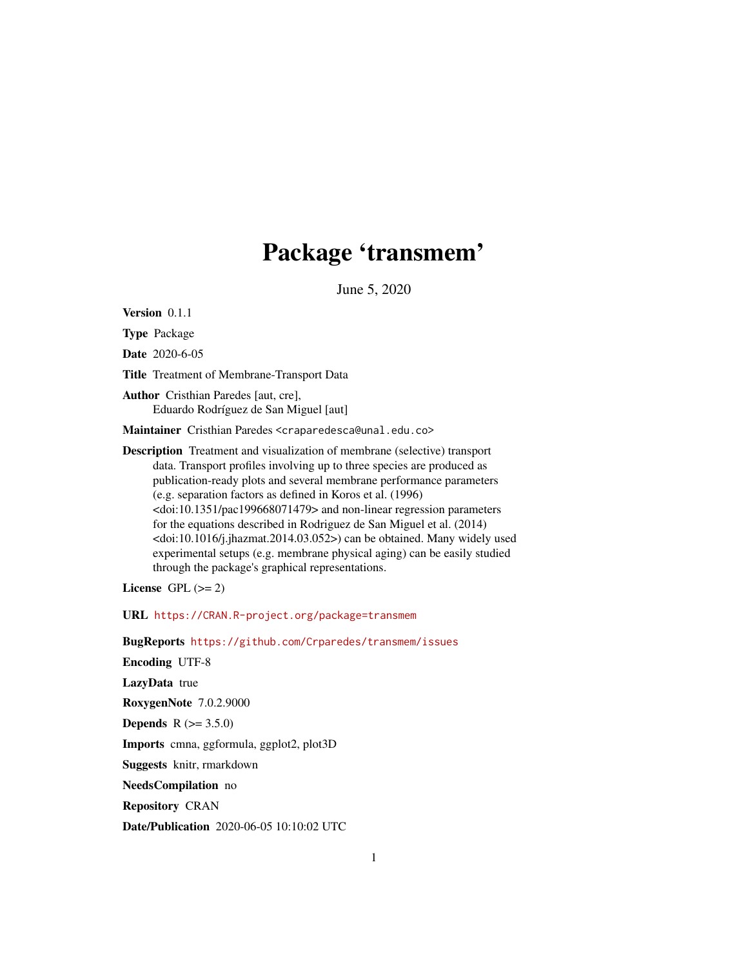# Package 'transmem'

June 5, 2020

Version 0.1.1

Type Package

Date 2020-6-05

Title Treatment of Membrane-Transport Data

Author Cristhian Paredes [aut, cre], Eduardo Rodríguez de San Miguel [aut]

Maintainer Cristhian Paredes <craparedesca@unal.edu.co>

Description Treatment and visualization of membrane (selective) transport data. Transport profiles involving up to three species are produced as publication-ready plots and several membrane performance parameters (e.g. separation factors as defined in Koros et al. (1996) <doi:10.1351/pac199668071479> and non-linear regression parameters for the equations described in Rodriguez de San Miguel et al. (2014) <doi:10.1016/j.jhazmat.2014.03.052>) can be obtained. Many widely used experimental setups (e.g. membrane physical aging) can be easily studied through the package's graphical representations.

License GPL  $(>= 2)$ 

URL <https://CRAN.R-project.org/package=transmem>

BugReports <https://github.com/Crparedes/transmem/issues>

Encoding UTF-8

LazyData true

RoxygenNote 7.0.2.9000

**Depends** R  $(>= 3.5.0)$ 

Imports cmna, ggformula, ggplot2, plot3D

Suggests knitr, rmarkdown

NeedsCompilation no

Repository CRAN

Date/Publication 2020-06-05 10:10:02 UTC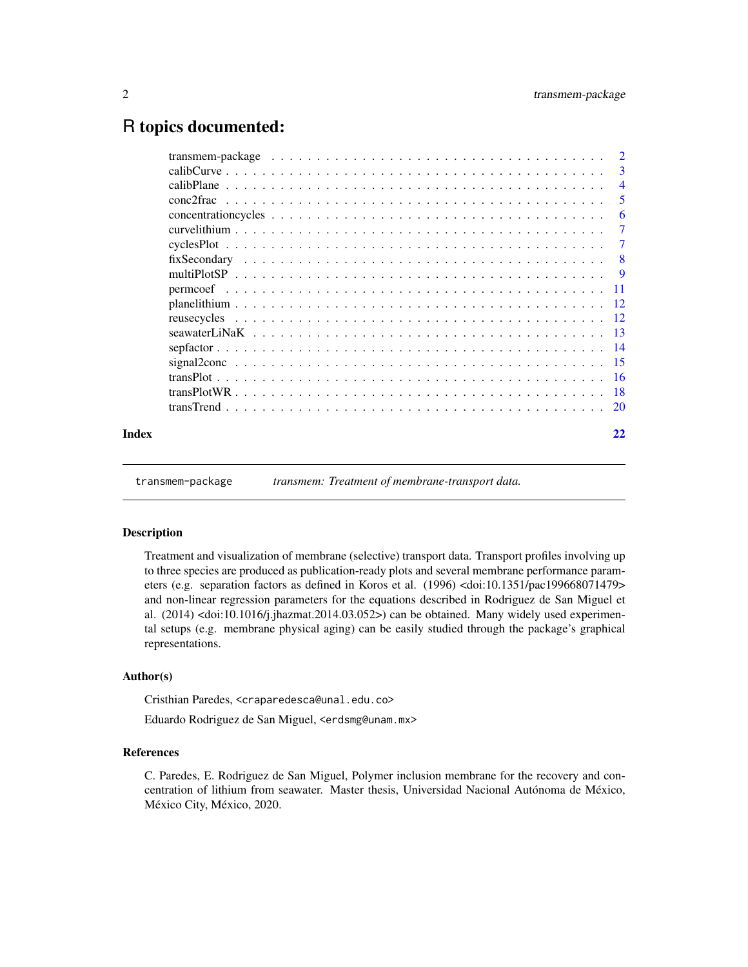# <span id="page-1-0"></span>R topics documented:

|       | transmem-package $\ldots \ldots \ldots \ldots \ldots \ldots \ldots \ldots \ldots \ldots \ldots \ldots \ldots$ | $\overline{2}$ |
|-------|---------------------------------------------------------------------------------------------------------------|----------------|
|       |                                                                                                               | -3             |
|       |                                                                                                               | $\overline{4}$ |
|       |                                                                                                               | -5             |
|       |                                                                                                               | -6             |
|       |                                                                                                               | 7              |
|       |                                                                                                               | $\tau$         |
|       |                                                                                                               | - 8            |
|       |                                                                                                               |                |
|       |                                                                                                               |                |
|       |                                                                                                               |                |
|       |                                                                                                               |                |
|       |                                                                                                               |                |
|       |                                                                                                               |                |
|       |                                                                                                               |                |
|       |                                                                                                               |                |
|       |                                                                                                               |                |
|       |                                                                                                               |                |
| Index |                                                                                                               | 22             |

transmem-package *transmem: Treatment of membrane-transport data.*

#### Description

Treatment and visualization of membrane (selective) transport data. Transport profiles involving up to three species are produced as publication-ready plots and several membrane performance parameters (e.g. separation factors as defined in Koros et al. (1996) <doi:10.1351/pac199668071479> and non-linear regression parameters for the equations described in Rodriguez de San Miguel et al.  $(2014)$  <doi:10.1016/j.jhazmat.2014.03.052>) can be obtained. Many widely used experimental setups (e.g. membrane physical aging) can be easily studied through the package's graphical representations.

### Author(s)

Cristhian Paredes, <craparedesca@unal.edu.co>

Eduardo Rodriguez de San Miguel, <erdsmg@unam.mx>

# References

C. Paredes, E. Rodriguez de San Miguel, Polymer inclusion membrane for the recovery and concentration of lithium from seawater. Master thesis, Universidad Nacional Autónoma de México, México City, México, 2020.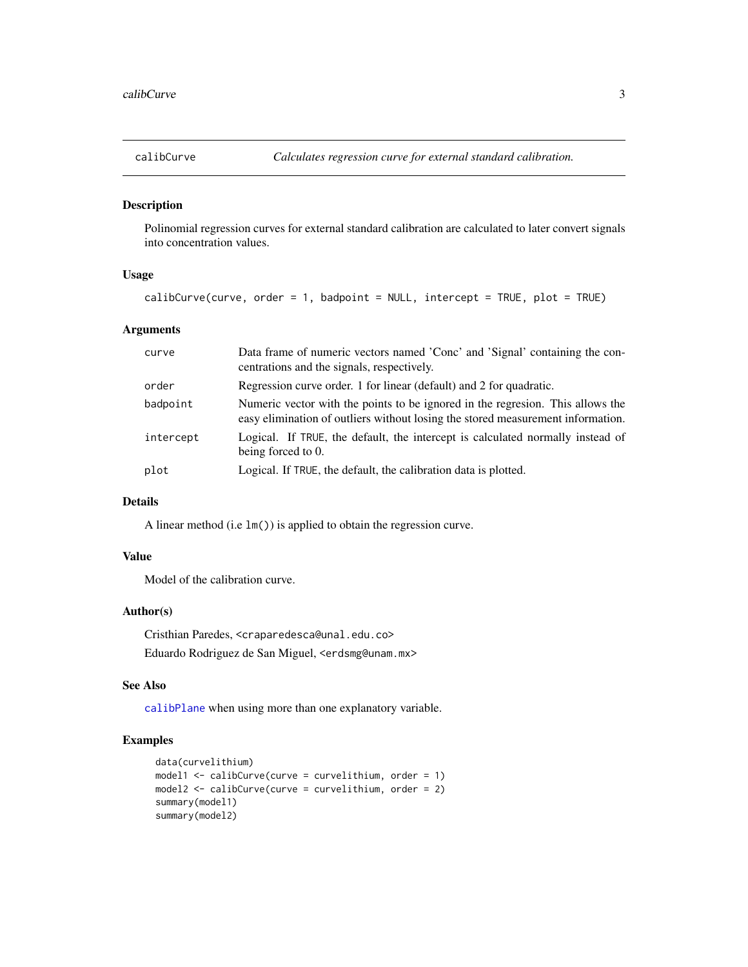<span id="page-2-1"></span><span id="page-2-0"></span>

Polinomial regression curves for external standard calibration are calculated to later convert signals into concentration values.

# Usage

```
calibCurve(curve, order = 1, badpoint = NULL, intercept = TRUE, plot = TRUE)
```
# Arguments

| curve     | Data frame of numeric vectors named 'Conc' and 'Signal' containing the con-<br>centrations and the signals, respectively.                                         |
|-----------|-------------------------------------------------------------------------------------------------------------------------------------------------------------------|
| order     | Regression curve order. 1 for linear (default) and 2 for quadratic.                                                                                               |
| badpoint  | Numeric vector with the points to be ignored in the regresion. This allows the<br>easy elimination of outliers without losing the stored measurement information. |
| intercept | Logical. If TRUE, the default, the intercept is calculated normally instead of<br>being forced to 0.                                                              |
| plot      | Logical. If TRUE, the default, the calibration data is plotted.                                                                                                   |

# Details

A linear method (i.e lm()) is applied to obtain the regression curve.

# Value

Model of the calibration curve.

#### Author(s)

Cristhian Paredes, <craparedesca@unal.edu.co> Eduardo Rodriguez de San Miguel, <erdsmg@unam.mx>

#### See Also

[calibPlane](#page-3-1) when using more than one explanatory variable.

# Examples

```
data(curvelithium)
model1 <- calibCurve(curve = curvelithium, order = 1)
model2 <- calibCurve(curve = curvelithium, order = 2)
summary(model1)
summary(model2)
```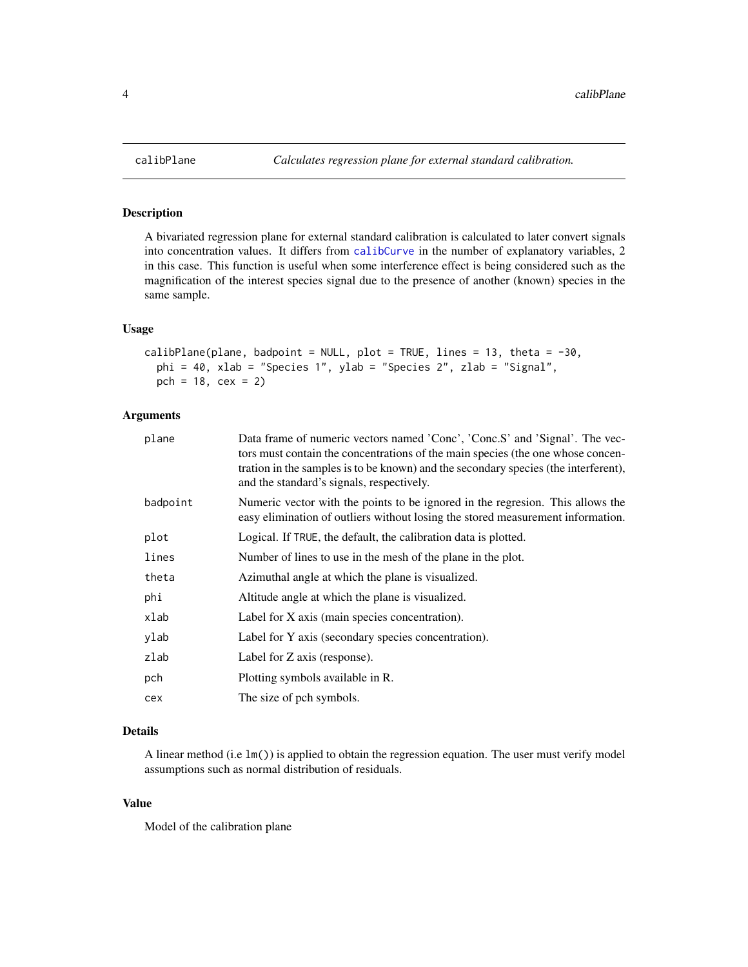A bivariated regression plane for external standard calibration is calculated to later convert signals into concentration values. It differs from [calibCurve](#page-2-1) in the number of explanatory variables, 2 in this case. This function is useful when some interference effect is being considered such as the magnification of the interest species signal due to the presence of another (known) species in the same sample.

# Usage

```
calibPlane(plane, badpoint = NULL, plot = TRUE, lines = 13, theta = -30,
 phi = 40, xlab = "Species 1", ylab = "Species 2", zlab = "Signal",
 pch = 18, cex = 2)
```
# Arguments

| plane    | Data frame of numeric vectors named 'Conc', 'Conc.S' and 'Signal'. The vec-<br>tors must contain the concentrations of the main species (the one whose concen-<br>tration in the samples is to be known) and the secondary species (the interferent),<br>and the standard's signals, respectively. |
|----------|----------------------------------------------------------------------------------------------------------------------------------------------------------------------------------------------------------------------------------------------------------------------------------------------------|
| badpoint | Numeric vector with the points to be ignored in the regresion. This allows the<br>easy elimination of outliers without losing the stored measurement information.                                                                                                                                  |
| plot     | Logical. If TRUE, the default, the calibration data is plotted.                                                                                                                                                                                                                                    |
| lines    | Number of lines to use in the mesh of the plane in the plot.                                                                                                                                                                                                                                       |
| theta    | Azimuthal angle at which the plane is visualized.                                                                                                                                                                                                                                                  |
| phi      | Altitude angle at which the plane is visualized.                                                                                                                                                                                                                                                   |
| xlab     | Label for X axis (main species concentration).                                                                                                                                                                                                                                                     |
| ylab     | Label for Y axis (secondary species concentration).                                                                                                                                                                                                                                                |
| zlab     | Label for Z axis (response).                                                                                                                                                                                                                                                                       |
| pch      | Plotting symbols available in R.                                                                                                                                                                                                                                                                   |
| cex      | The size of pch symbols.                                                                                                                                                                                                                                                                           |
|          |                                                                                                                                                                                                                                                                                                    |

# Details

A linear method (i.e lm()) is applied to obtain the regression equation. The user must verify model assumptions such as normal distribution of residuals.

# Value

Model of the calibration plane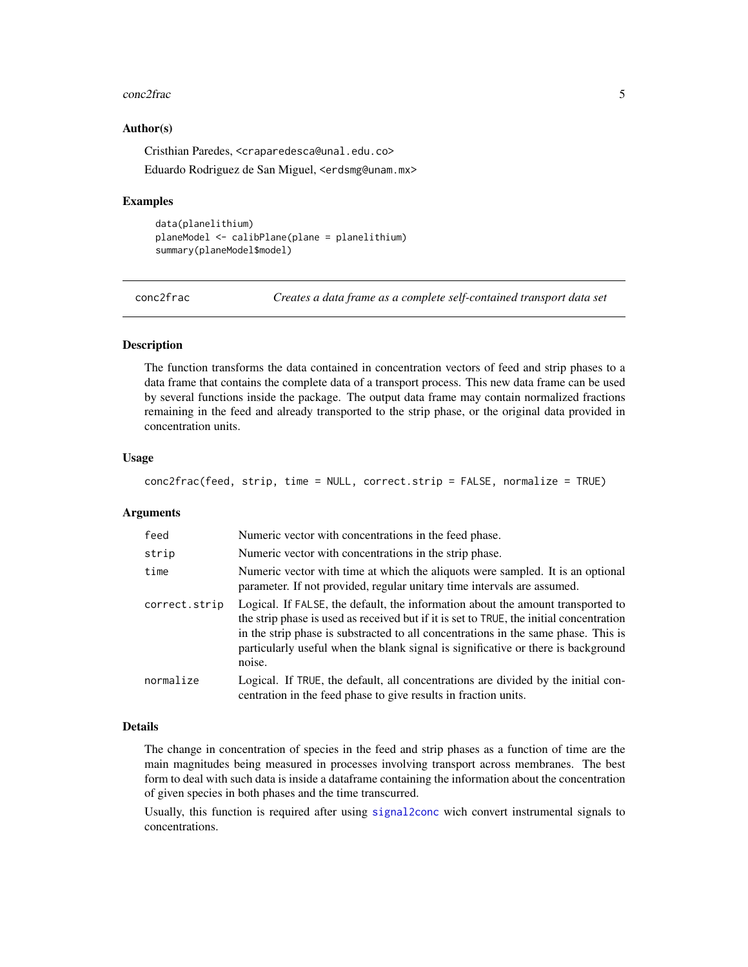#### <span id="page-4-0"></span>conc2frac 5

#### Author(s)

Cristhian Paredes, <craparedesca@unal.edu.co>

Eduardo Rodriguez de San Miguel, <erdsmg@unam.mx>

# Examples

```
data(planelithium)
planeModel <- calibPlane(plane = planelithium)
summary(planeModel$model)
```
<span id="page-4-1"></span>conc2frac *Creates a data frame as a complete self-contained transport data set*

#### Description

The function transforms the data contained in concentration vectors of feed and strip phases to a data frame that contains the complete data of a transport process. This new data frame can be used by several functions inside the package. The output data frame may contain normalized fractions remaining in the feed and already transported to the strip phase, or the original data provided in concentration units.

#### Usage

```
conc2frac(feed, strip, time = NULL, correct.strip = FALSE, normalize = TRUE)
```
#### Arguments

| feed          | Numeric vector with concentrations in the feed phase.                                                                                                                                                                                                                                                                                                           |
|---------------|-----------------------------------------------------------------------------------------------------------------------------------------------------------------------------------------------------------------------------------------------------------------------------------------------------------------------------------------------------------------|
| strip         | Numeric vector with concentrations in the strip phase.                                                                                                                                                                                                                                                                                                          |
| time          | Numeric vector with time at which the aliquots were sampled. It is an optional<br>parameter. If not provided, regular unitary time intervals are assumed.                                                                                                                                                                                                       |
| correct.strip | Logical. If FALSE, the default, the information about the amount transported to<br>the strip phase is used as received but if it is set to TRUE, the initial concentration<br>in the strip phase is substracted to all concentrations in the same phase. This is<br>particularly useful when the blank signal is significative or there is background<br>noise. |
| normalize     | Logical. If TRUE, the default, all concentrations are divided by the initial con-<br>centration in the feed phase to give results in fraction units.                                                                                                                                                                                                            |

#### Details

The change in concentration of species in the feed and strip phases as a function of time are the main magnitudes being measured in processes involving transport across membranes. The best form to deal with such data is inside a dataframe containing the information about the concentration of given species in both phases and the time transcurred.

Usually, this function is required after using [signal2conc](#page-14-1) wich convert instrumental signals to concentrations.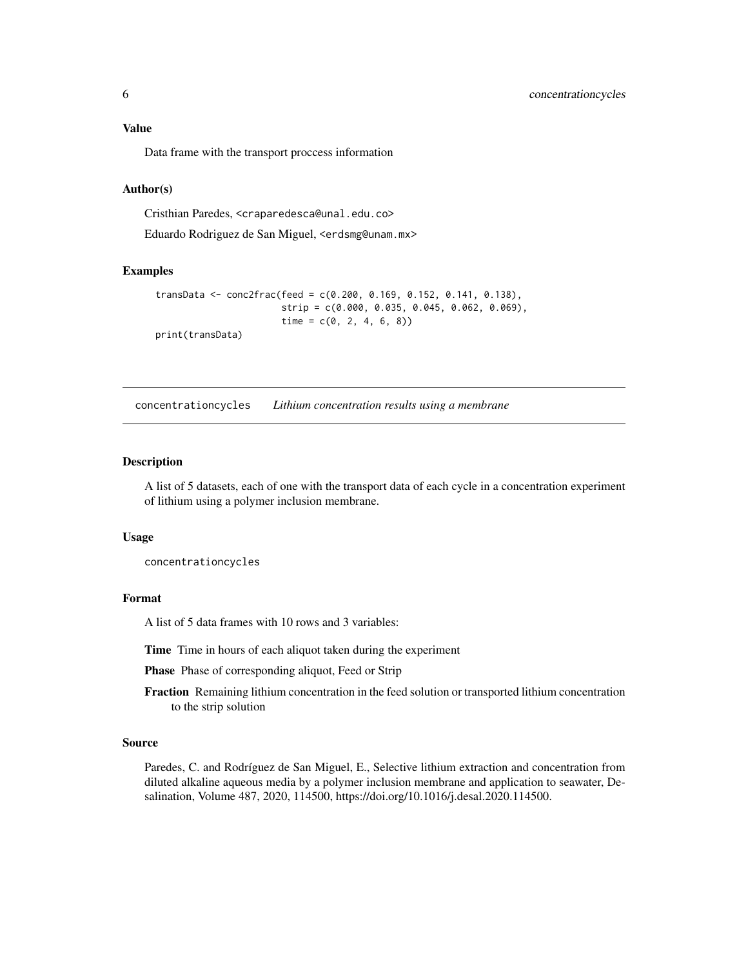# <span id="page-5-0"></span>Value

Data frame with the transport proccess information

#### Author(s)

Cristhian Paredes, <craparedesca@unal.edu.co>

Eduardo Rodriguez de San Miguel, <erdsmg@unam.mx>

#### Examples

```
transData <- conc2frac(feed = c(0.200, 0.169, 0.152, 0.141, 0.138),
                       strip = c(0.000, 0.035, 0.045, 0.062, 0.069),
                       time = c(0, 2, 4, 6, 8)print(transData)
```
concentrationcycles *Lithium concentration results using a membrane*

# Description

A list of 5 datasets, each of one with the transport data of each cycle in a concentration experiment of lithium using a polymer inclusion membrane.

#### Usage

concentrationcycles

# Format

A list of 5 data frames with 10 rows and 3 variables:

Time Time in hours of each aliquot taken during the experiment

Phase Phase of corresponding aliquot, Feed or Strip

Fraction Remaining lithium concentration in the feed solution or transported lithium concentration to the strip solution

#### Source

Paredes, C. and Rodríguez de San Miguel, E., Selective lithium extraction and concentration from diluted alkaline aqueous media by a polymer inclusion membrane and application to seawater, Desalination, Volume 487, 2020, 114500, https://doi.org/10.1016/j.desal.2020.114500.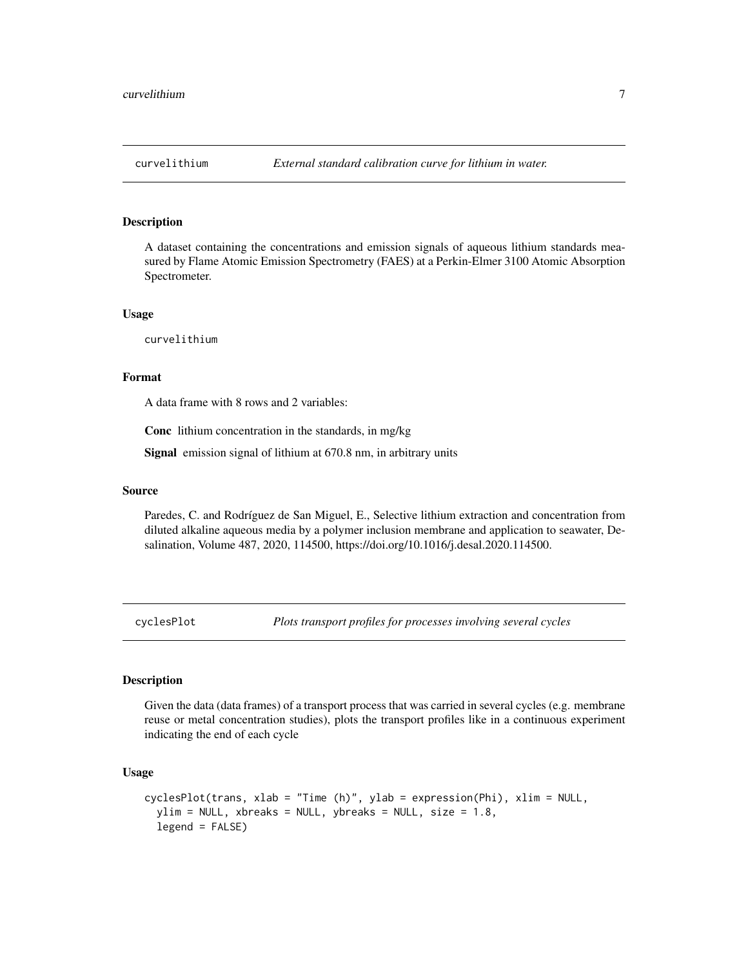<span id="page-6-0"></span>A dataset containing the concentrations and emission signals of aqueous lithium standards measured by Flame Atomic Emission Spectrometry (FAES) at a Perkin-Elmer 3100 Atomic Absorption Spectrometer.

#### Usage

curvelithium

# Format

A data frame with 8 rows and 2 variables:

Conc lithium concentration in the standards, in mg/kg

Signal emission signal of lithium at 670.8 nm, in arbitrary units

# Source

Paredes, C. and Rodríguez de San Miguel, E., Selective lithium extraction and concentration from diluted alkaline aqueous media by a polymer inclusion membrane and application to seawater, Desalination, Volume 487, 2020, 114500, https://doi.org/10.1016/j.desal.2020.114500.

cyclesPlot *Plots transport profiles for processes involving several cycles*

#### **Description**

Given the data (data frames) of a transport process that was carried in several cycles (e.g. membrane reuse or metal concentration studies), plots the transport profiles like in a continuous experiment indicating the end of each cycle

#### Usage

```
cyclesPlot(trans, xlab = "Time (h)", ylab = expression(Phi), xlim = NULL,
  ylim = NULL, xbreaks = NULL, ybreaks = NULL, size = 1.8,
  legend = FALSE)
```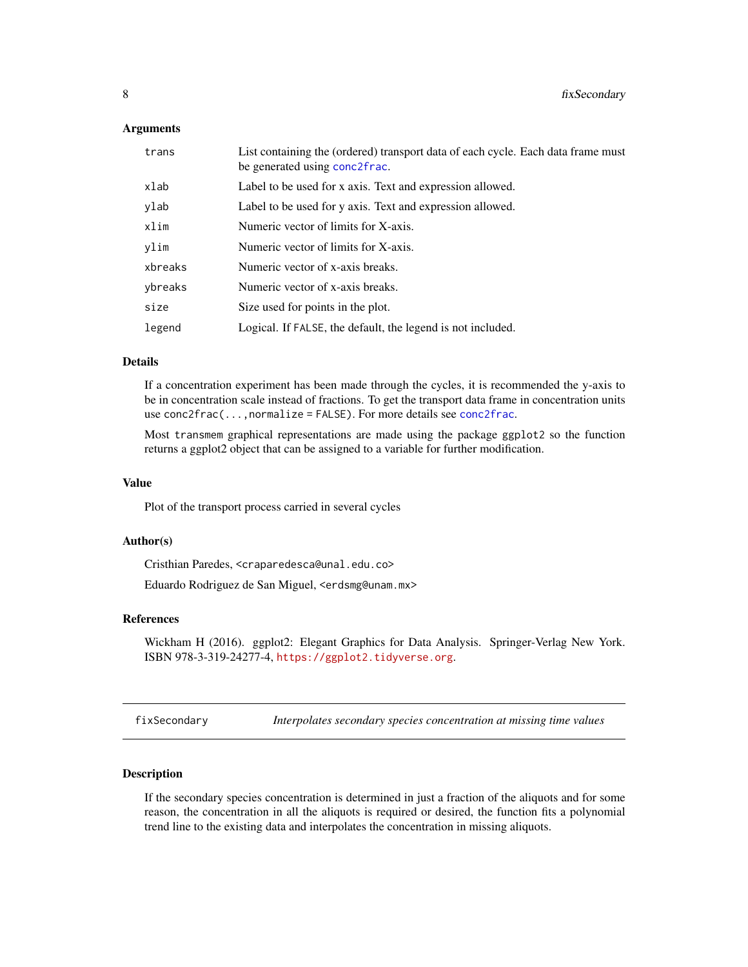#### <span id="page-7-0"></span>**Arguments**

| trans   | List containing the (ordered) transport data of each cycle. Each data frame must<br>be generated using conc2frac. |
|---------|-------------------------------------------------------------------------------------------------------------------|
| xlab    | Label to be used for x axis. Text and expression allowed.                                                         |
| ylab    | Label to be used for y axis. Text and expression allowed.                                                         |
| xlim    | Numeric vector of limits for X-axis.                                                                              |
| ylim    | Numeric vector of limits for X-axis.                                                                              |
| xbreaks | Numeric vector of x-axis breaks.                                                                                  |
| ybreaks | Numeric vector of x-axis breaks.                                                                                  |
| size    | Size used for points in the plot.                                                                                 |
| legend  | Logical. If FALSE, the default, the legend is not included.                                                       |

### Details

If a concentration experiment has been made through the cycles, it is recommended the y-axis to be in concentration scale instead of fractions. To get the transport data frame in concentration units use [conc2frac](#page-4-1)(...,normalize = FALSE). For more details see conc2frac.

Most transmem graphical representations are made using the package ggplot2 so the function returns a ggplot2 object that can be assigned to a variable for further modification.

#### Value

Plot of the transport process carried in several cycles

### Author(s)

Cristhian Paredes, <craparedesca@unal.edu.co>

Eduardo Rodriguez de San Miguel, <erdsmg@unam.mx>

#### References

Wickham H (2016). ggplot2: Elegant Graphics for Data Analysis. Springer-Verlag New York. ISBN 978-3-319-24277-4, <https://ggplot2.tidyverse.org>.

<span id="page-7-1"></span>fixSecondary *Interpolates secondary species concentration at missing time values*

# Description

If the secondary species concentration is determined in just a fraction of the aliquots and for some reason, the concentration in all the aliquots is required or desired, the function fits a polynomial trend line to the existing data and interpolates the concentration in missing aliquots.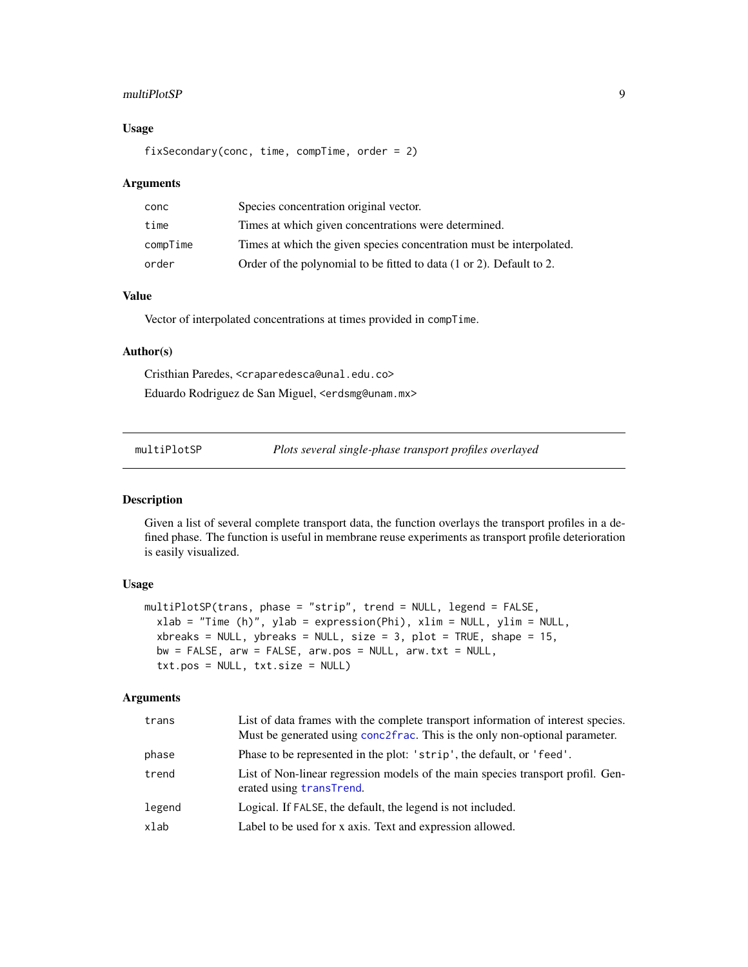#### <span id="page-8-0"></span>multiPlotSP 9

# Usage

fixSecondary(conc, time, compTime, order = 2)

#### Arguments

| conc     | Species concentration original vector.                               |
|----------|----------------------------------------------------------------------|
| time     | Times at which given concentrations were determined.                 |
| compTime | Times at which the given species concentration must be interpolated. |
| order    | Order of the polynomial to be fitted to data (1 or 2). Default to 2. |

# Value

Vector of interpolated concentrations at times provided in compTime.

#### Author(s)

Cristhian Paredes, <craparedesca@unal.edu.co> Eduardo Rodriguez de San Miguel, <erdsmg@unam.mx>

| multiPlotSP |  | Plots several single-phase transport profiles overlayed |
|-------------|--|---------------------------------------------------------|
|-------------|--|---------------------------------------------------------|

# Description

Given a list of several complete transport data, the function overlays the transport profiles in a defined phase. The function is useful in membrane reuse experiments as transport profile deterioration is easily visualized.

# Usage

```
multiPlotSP(trans, phase = "strip", trend = NULL, legend = FALSE,
  xlab = "Time (h)", ylab = expression(Phi), xlim = NULL, ylim = NULL,
  xbreaks = NULL, ybreaks = NULL, size = 3, plot = TRUE, shape = 15,
 bw = FALSE, arw = FALSE, arw.pos = NULL, arw.txt = NULL,
  txt.pos = NULL, txt.size = NULL)
```
# Arguments

| trans  | List of data frames with the complete transport information of interest species.<br>Must be generated using conc2frac. This is the only non-optional parameter. |
|--------|-----------------------------------------------------------------------------------------------------------------------------------------------------------------|
| phase  | Phase to be represented in the plot: 'strip', the default, or 'feed'.                                                                                           |
| trend  | List of Non-linear regression models of the main species transport profil. Gen-<br>erated using transTrend.                                                     |
| legend | Logical. If FALSE, the default, the legend is not included.                                                                                                     |
| xlab   | Label to be used for x axis. Text and expression allowed.                                                                                                       |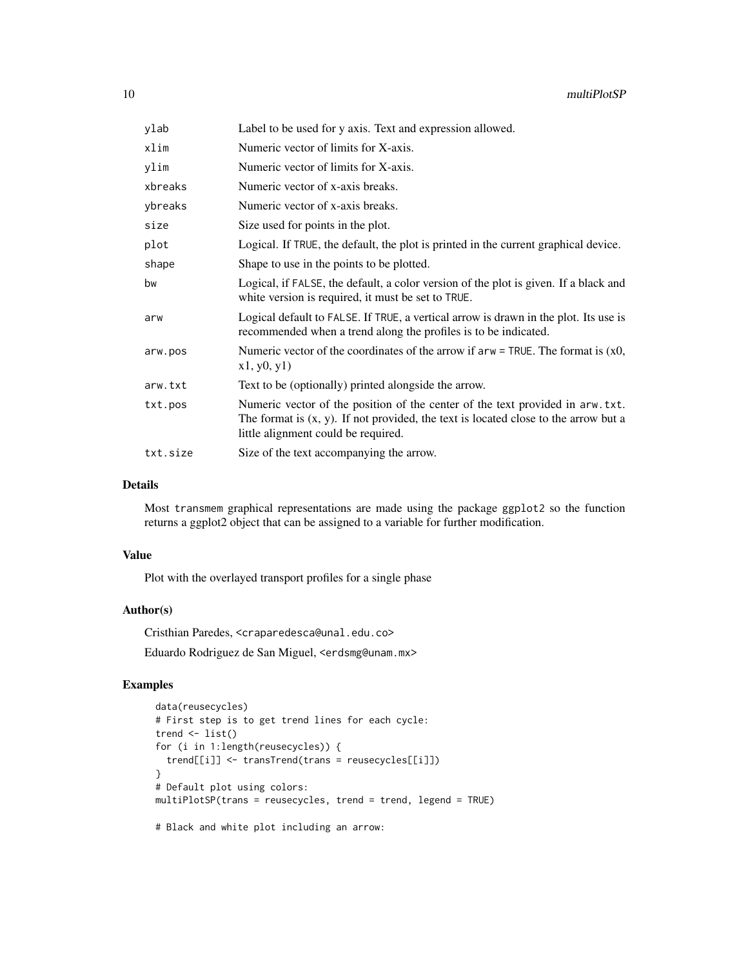| ylab     | Label to be used for y axis. Text and expression allowed.                                                                                                                                                       |
|----------|-----------------------------------------------------------------------------------------------------------------------------------------------------------------------------------------------------------------|
| xlim     | Numeric vector of limits for X-axis.                                                                                                                                                                            |
| ylim     | Numeric vector of limits for X-axis.                                                                                                                                                                            |
| xbreaks  | Numeric vector of x-axis breaks.                                                                                                                                                                                |
| ybreaks  | Numeric vector of x-axis breaks.                                                                                                                                                                                |
| size     | Size used for points in the plot.                                                                                                                                                                               |
| plot     | Logical. If TRUE, the default, the plot is printed in the current graphical device.                                                                                                                             |
| shape    | Shape to use in the points to be plotted.                                                                                                                                                                       |
| bw       | Logical, if FALSE, the default, a color version of the plot is given. If a black and<br>white version is required, it must be set to TRUE.                                                                      |
| arw      | Logical default to FALSE. If TRUE, a vertical arrow is drawn in the plot. Its use is<br>recommended when a trend along the profiles is to be indicated.                                                         |
| arw.pos  | Numeric vector of the coordinates of the arrow if $arw = TRUE$ . The format is $(x0,$<br>x1, y0, y1)                                                                                                            |
| arw.txt  | Text to be (optionally) printed alongside the arrow.                                                                                                                                                            |
| txt.pos  | Numeric vector of the position of the center of the text provided in arw. txt.<br>The format is $(x, y)$ . If not provided, the text is located close to the arrow but a<br>little alignment could be required. |
| txt.size | Size of the text accompanying the arrow.                                                                                                                                                                        |

# Details

Most transmem graphical representations are made using the package ggplot2 so the function returns a ggplot2 object that can be assigned to a variable for further modification.

#### Value

Plot with the overlayed transport profiles for a single phase

# Author(s)

Cristhian Paredes, <craparedesca@unal.edu.co> Eduardo Rodriguez de San Miguel, <erdsmg@unam.mx>

# Examples

```
data(reusecycles)
# First step is to get trend lines for each cycle:
trend \leq list()
for (i in 1:length(reusecycles)) {
 trend[[i]] <- transTrend(trans = reusecycles[[i]])
}
# Default plot using colors:
multiPlotSP(trans = reusecycles, trend = trend, legend = TRUE)
```
# Black and white plot including an arrow: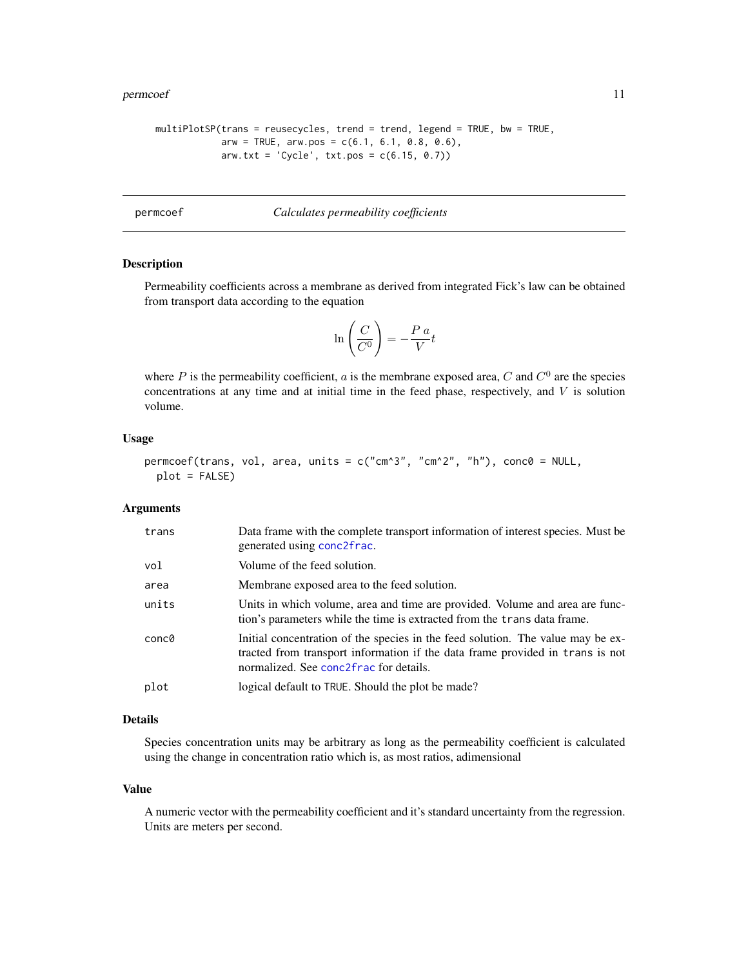#### <span id="page-10-0"></span>permcoef 11

```
multiPlotSP(trans = reusecycles, trend = trend, legend = TRUE, bw = TRUE,
            arw = TRUE, arw.pos = c(6.1, 6.1, 0.8, 0.6),
            arw.txt = 'Cycle', txt.pos = c(6.15, 0.7))
```
# permcoef *Calculates permeability coefficients*

#### Description

Permeability coefficients across a membrane as derived from integrated Fick's law can be obtained from transport data according to the equation

$$
\ln\left(\frac{C}{C^0}\right) = -\frac{P\ a}{V}t
$$

where P is the permeability coefficient, a is the membrane exposed area, C and  $C^0$  are the species concentrations at any time and at initial time in the feed phase, respectively, and  $V$  is solution volume.

#### Usage

```
permcoef(trans, vol, area, units = c("cm^3", "cm^2", "h"), conc0 = NULL,
 plot = FALSE)
```
#### Arguments

| trans | Data frame with the complete transport information of interest species. Must be<br>generated using conc2frac.                                                                                              |
|-------|------------------------------------------------------------------------------------------------------------------------------------------------------------------------------------------------------------|
| vol   | Volume of the feed solution.                                                                                                                                                                               |
| area  | Membrane exposed area to the feed solution.                                                                                                                                                                |
| units | Units in which volume, area and time are provided. Volume and area are func-<br>tion's parameters while the time is extracted from the trans data frame.                                                   |
| conc0 | Initial concentration of the species in the feed solution. The value may be ex-<br>tracted from transport information if the data frame provided in trans is not<br>normalized. See conc2frac for details. |
| plot  | logical default to TRUE. Should the plot be made?                                                                                                                                                          |

# Details

Species concentration units may be arbitrary as long as the permeability coefficient is calculated using the change in concentration ratio which is, as most ratios, adimensional

#### Value

A numeric vector with the permeability coefficient and it's standard uncertainty from the regression. Units are meters per second.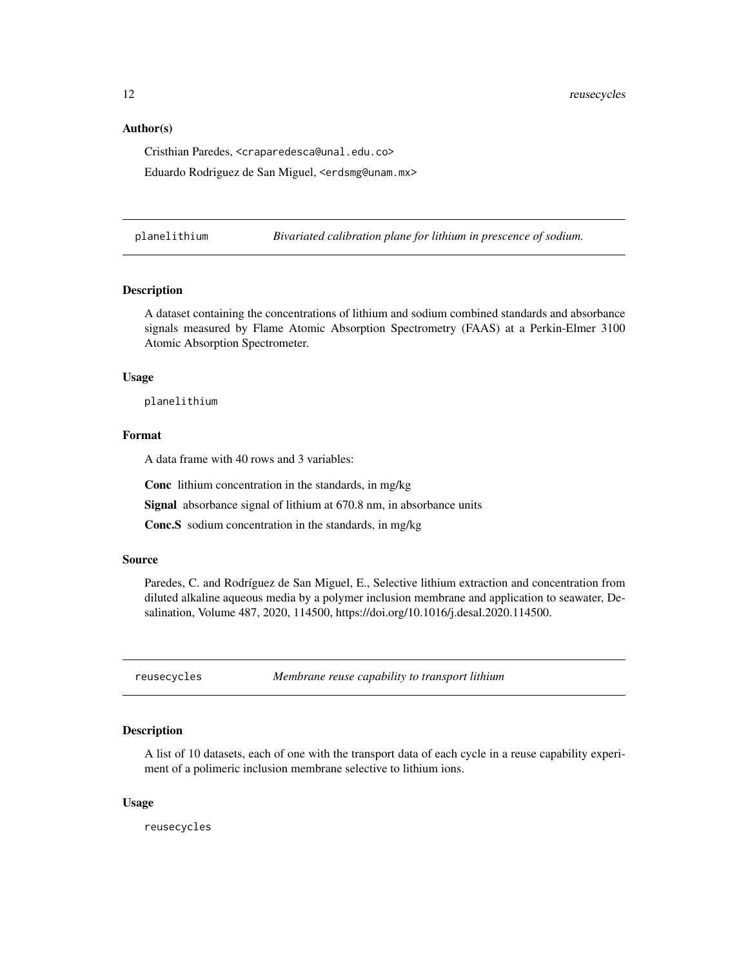<span id="page-11-0"></span>12 reusecycles

#### Author(s)

Cristhian Paredes, <craparedesca@unal.edu.co>

Eduardo Rodriguez de San Miguel, <erdsmg@unam.mx>

planelithium *Bivariated calibration plane for lithium in prescence of sodium.*

#### **Description**

A dataset containing the concentrations of lithium and sodium combined standards and absorbance signals measured by Flame Atomic Absorption Spectrometry (FAAS) at a Perkin-Elmer 3100 Atomic Absorption Spectrometer.

#### Usage

planelithium

# Format

A data frame with 40 rows and 3 variables:

Conc lithium concentration in the standards, in mg/kg

Signal absorbance signal of lithium at 670.8 nm, in absorbance units

Conc.S sodium concentration in the standards, in mg/kg

#### Source

Paredes, C. and Rodríguez de San Miguel, E., Selective lithium extraction and concentration from diluted alkaline aqueous media by a polymer inclusion membrane and application to seawater, Desalination, Volume 487, 2020, 114500, https://doi.org/10.1016/j.desal.2020.114500.

reusecycles *Membrane reuse capability to transport lithium*

#### **Description**

A list of 10 datasets, each of one with the transport data of each cycle in a reuse capability experiment of a polimeric inclusion membrane selective to lithium ions.

#### Usage

reusecycles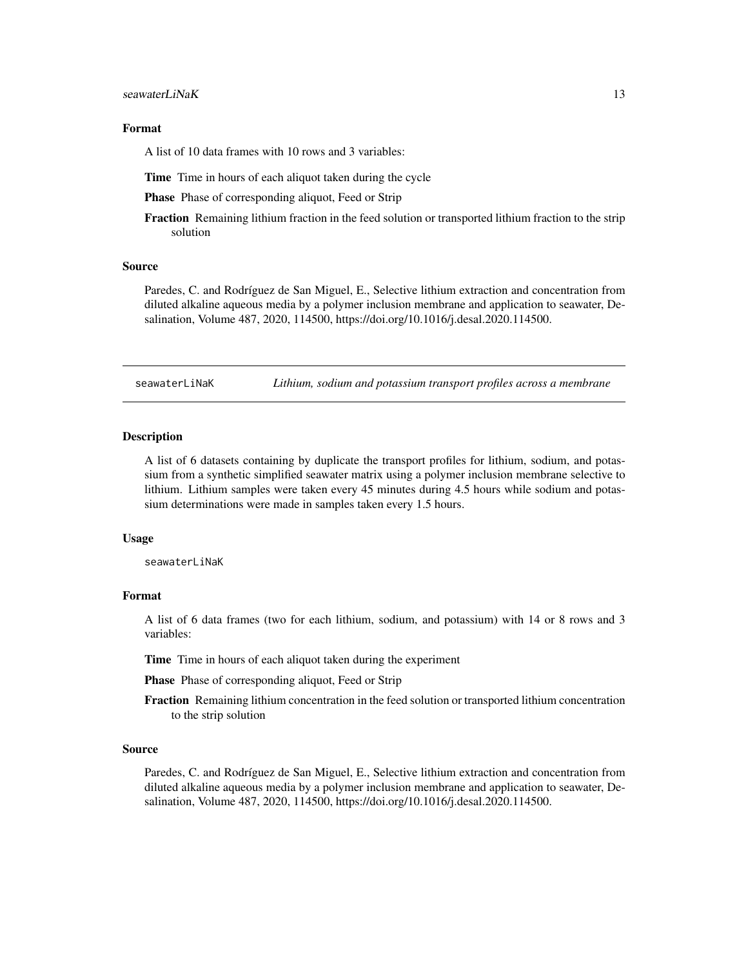#### <span id="page-12-0"></span>Format

A list of 10 data frames with 10 rows and 3 variables:

Time Time in hours of each aliquot taken during the cycle

Phase Phase of corresponding aliquot, Feed or Strip

Fraction Remaining lithium fraction in the feed solution or transported lithium fraction to the strip solution

#### Source

Paredes, C. and Rodríguez de San Miguel, E., Selective lithium extraction and concentration from diluted alkaline aqueous media by a polymer inclusion membrane and application to seawater, Desalination, Volume 487, 2020, 114500, https://doi.org/10.1016/j.desal.2020.114500.

seawaterLiNaK *Lithium, sodium and potassium transport profiles across a membrane*

#### Description

A list of 6 datasets containing by duplicate the transport profiles for lithium, sodium, and potassium from a synthetic simplified seawater matrix using a polymer inclusion membrane selective to lithium. Lithium samples were taken every 45 minutes during 4.5 hours while sodium and potassium determinations were made in samples taken every 1.5 hours.

#### Usage

seawaterLiNaK

#### Format

A list of 6 data frames (two for each lithium, sodium, and potassium) with 14 or 8 rows and 3 variables:

Time Time in hours of each aliquot taken during the experiment

Phase Phase of corresponding aliquot, Feed or Strip

Fraction Remaining lithium concentration in the feed solution or transported lithium concentration to the strip solution

#### Source

Paredes, C. and Rodríguez de San Miguel, E., Selective lithium extraction and concentration from diluted alkaline aqueous media by a polymer inclusion membrane and application to seawater, Desalination, Volume 487, 2020, 114500, https://doi.org/10.1016/j.desal.2020.114500.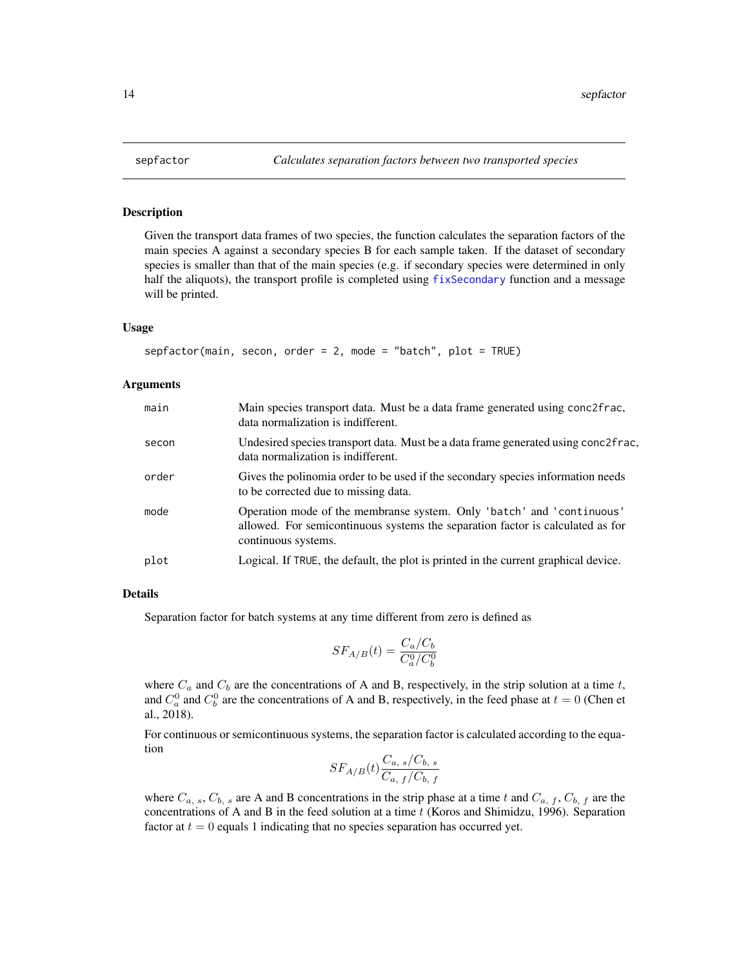Given the transport data frames of two species, the function calculates the separation factors of the main species A against a secondary species B for each sample taken. If the dataset of secondary species is smaller than that of the main species (e.g. if secondary species were determined in only half the aliquots), the transport profile is completed using [fixSecondary](#page-7-1) function and a message will be printed.

#### Usage

```
sepfactor(main, second, order = 2, mode = "batch", plot = TRUE)
```
#### **Arguments**

| main  | Main species transport data. Must be a data frame generated using conc2frac,<br>data normalization is indifferent.                                                             |
|-------|--------------------------------------------------------------------------------------------------------------------------------------------------------------------------------|
| secon | Undesired species transport data. Must be a data frame generated using conc2frac,<br>data normalization is indifferent.                                                        |
| order | Gives the polinomia order to be used if the secondary species information needs<br>to be corrected due to missing data.                                                        |
| mode  | Operation mode of the membranse system. Only 'batch' and 'continuous'<br>allowed. For semicontinuous systems the separation factor is calculated as for<br>continuous systems. |
| plot  | Logical. If TRUE, the default, the plot is printed in the current graphical device.                                                                                            |

#### Details

Separation factor for batch systems at any time different from zero is defined as

$$
SF_{A/B}(t) = \frac{C_a/C_b}{C_a^0/C_b^0}
$$

where  $C_a$  and  $C_b$  are the concentrations of A and B, respectively, in the strip solution at a time t, and  $C_a^0$  and  $C_b^0$  are the concentrations of A and B, respectively, in the feed phase at  $t = 0$  (Chen et al., 2018).

For continuous or semicontinuous systems, the separation factor is calculated according to the equation

$$
SF_{A/B}(t)\frac{C_{a, s}/C_{b, s}}{C_{a, f}/C_{b, f}}
$$

where  $C_{a, s}$ ,  $C_{b, s}$  are A and B concentrations in the strip phase at a time t and  $C_{a, f}$ ,  $C_{b, f}$  are the concentrations of A and B in the feed solution at a time  $t$  (Koros and Shimidzu, 1996). Separation factor at  $t = 0$  equals 1 indicating that no species separation has occurred yet.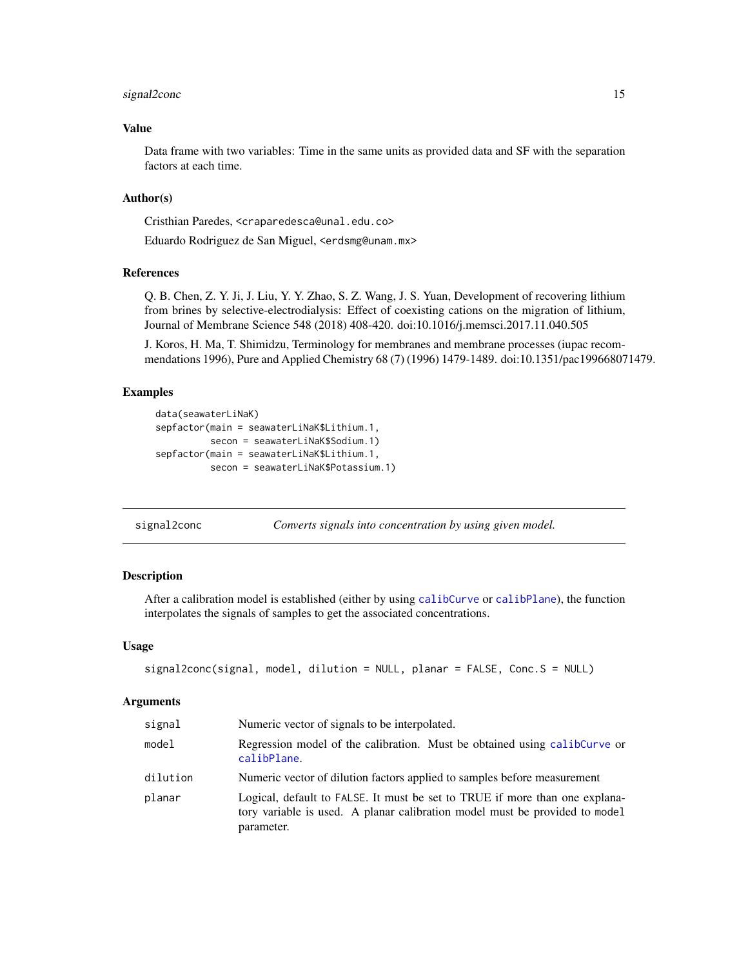# <span id="page-14-0"></span>signal2conc 15

# Value

Data frame with two variables: Time in the same units as provided data and SF with the separation factors at each time.

### Author(s)

Cristhian Paredes, <craparedesca@unal.edu.co>

Eduardo Rodriguez de San Miguel, <erdsmg@unam.mx>

#### References

Q. B. Chen, Z. Y. Ji, J. Liu, Y. Y. Zhao, S. Z. Wang, J. S. Yuan, Development of recovering lithium from brines by selective-electrodialysis: Effect of coexisting cations on the migration of lithium, Journal of Membrane Science 548 (2018) 408-420. doi:10.1016/j.memsci.2017.11.040.505

J. Koros, H. Ma, T. Shimidzu, Terminology for membranes and membrane processes (iupac recommendations 1996), Pure and Applied Chemistry 68 (7) (1996) 1479-1489. doi:10.1351/pac199668071479.

#### Examples

```
data(seawaterLiNaK)
sepfactor(main = seawaterLiNaK$Lithium.1,
          secon = seawaterLiNaK$Sodium.1)
sepfactor(main = seawaterLiNaK$Lithium.1,
          secon = seawaterLiNaK$Potassium.1)
```
<span id="page-14-1"></span>signal2conc *Converts signals into concentration by using given model.*

#### Description

After a calibration model is established (either by using [calibCurve](#page-2-1) or [calibPlane](#page-3-1)), the function interpolates the signals of samples to get the associated concentrations.

#### Usage

```
signal2conc(signal, model, dilution = NULL, planar = FALSE, Conc.S = NULL)
```
#### Arguments

| signal   | Numeric vector of signals to be interpolated.                                                                                                                            |
|----------|--------------------------------------------------------------------------------------------------------------------------------------------------------------------------|
| model    | Regression model of the calibration. Must be obtained using calib Curve or<br>calibPlane.                                                                                |
| dilution | Numeric vector of dilution factors applied to samples before measurement                                                                                                 |
| planar   | Logical, default to FALSE. It must be set to TRUE if more than one explana-<br>tory variable is used. A planar calibration model must be provided to model<br>parameter. |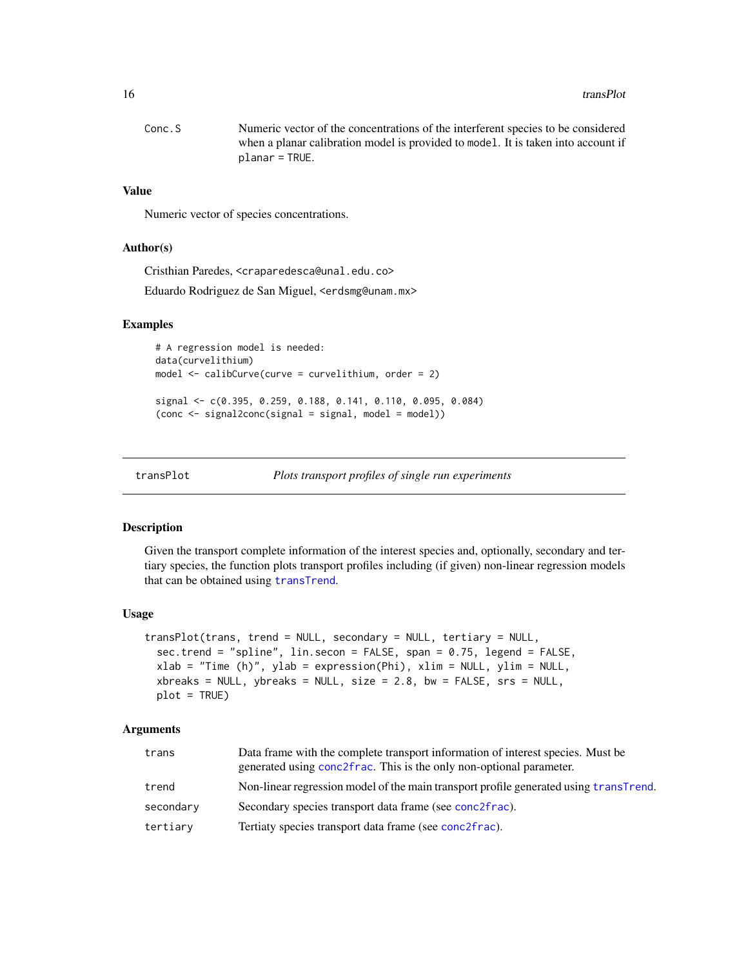<span id="page-15-0"></span>

| Conc. S | Numeric vector of the concentrations of the interferent species to be considered  |
|---------|-----------------------------------------------------------------------------------|
|         | when a planar calibration model is provided to model. It is taken into account if |
|         | $planar = TRUE.$                                                                  |

# Value

Numeric vector of species concentrations.

#### Author(s)

Cristhian Paredes, <craparedesca@unal.edu.co>

Eduardo Rodriguez de San Miguel, <erdsmg@unam.mx>

#### Examples

```
# A regression model is needed:
data(curvelithium)
model \le calibCurve(curve = curvelithium, order = 2)
signal <- c(0.395, 0.259, 0.188, 0.141, 0.110, 0.095, 0.084)
(conc <- signal2conc(signal = signal, model = model))
```
<span id="page-15-1"></span>

transPlot *Plots transport profiles of single run experiments*

#### Description

Given the transport complete information of the interest species and, optionally, secondary and tertiary species, the function plots transport profiles including (if given) non-linear regression models that can be obtained using [transTrend](#page-19-1).

# Usage

```
transPlot(trans, trend = NULL, secondary = NULL, tertiary = NULL,
  sec.trend = "spline", lin.secon = FALSE, span = 0.75, legend = FALSE,
  xlab = "Time (h)", ylab = expression(Phi), xlim = NULL, ylim = NULL,
 xbreaks = NULL, ybreaks = NULL, size = 2.8, bw = FALSE, srs = NULL,
 plot = TRUE)
```
#### Arguments

| trans     | Data frame with the complete transport information of interest species. Must be<br>generated using conc2frac. This is the only non-optional parameter. |
|-----------|--------------------------------------------------------------------------------------------------------------------------------------------------------|
| trend     | Non-linear regression model of the main transport profile generated using transTrend.                                                                  |
| secondary | Secondary species transport data frame (see conc2frac).                                                                                                |
| tertiary  | Tertiaty species transport data frame (see conc2frac).                                                                                                 |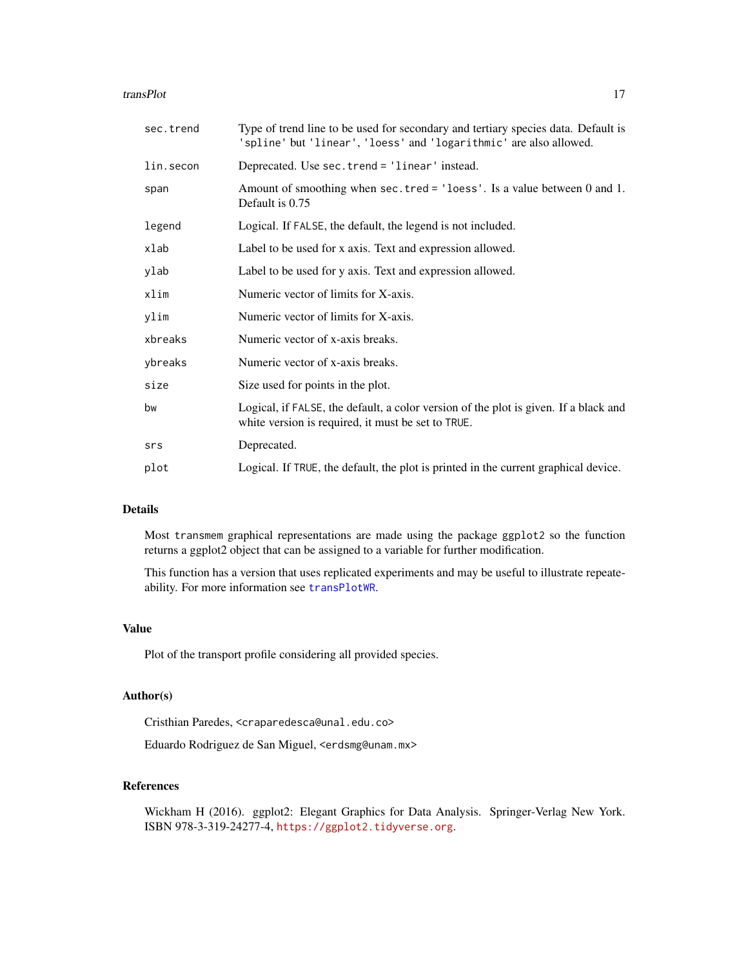#### <span id="page-16-0"></span>transPlot 17

| sec.trend | Type of trend line to be used for secondary and tertiary species data. Default is<br>'spline' but 'linear', 'loess' and 'logarithmic' are also allowed. |
|-----------|---------------------------------------------------------------------------------------------------------------------------------------------------------|
| lin.secon | Deprecated. Use sec.trend = 'linear' instead.                                                                                                           |
| span      | Amount of smoothing when sec. tred = $'loess'$ . Is a value between 0 and 1.<br>Default is 0.75                                                         |
| legend    | Logical. If FALSE, the default, the legend is not included.                                                                                             |
| xlab      | Label to be used for x axis. Text and expression allowed.                                                                                               |
| ylab      | Label to be used for y axis. Text and expression allowed.                                                                                               |
| xlim      | Numeric vector of limits for X-axis.                                                                                                                    |
| ylim      | Numeric vector of limits for X-axis.                                                                                                                    |
| xbreaks   | Numeric vector of x-axis breaks.                                                                                                                        |
| ybreaks   | Numeric vector of x-axis breaks.                                                                                                                        |
| size      | Size used for points in the plot.                                                                                                                       |
| bw        | Logical, if FALSE, the default, a color version of the plot is given. If a black and<br>white version is required, it must be set to TRUE.              |
| srs       | Deprecated.                                                                                                                                             |
| plot      | Logical. If TRUE, the default, the plot is printed in the current graphical device.                                                                     |

# Details

Most transmem graphical representations are made using the package ggplot2 so the function returns a ggplot2 object that can be assigned to a variable for further modification.

This function has a version that uses replicated experiments and may be useful to illustrate repeateability. For more information see [transPlotWR](#page-17-1).

#### Value

Plot of the transport profile considering all provided species.

#### Author(s)

Cristhian Paredes, <craparedesca@unal.edu.co>

Eduardo Rodriguez de San Miguel, <erdsmg@unam.mx>

# References

Wickham H (2016). ggplot2: Elegant Graphics for Data Analysis. Springer-Verlag New York. ISBN 978-3-319-24277-4, <https://ggplot2.tidyverse.org>.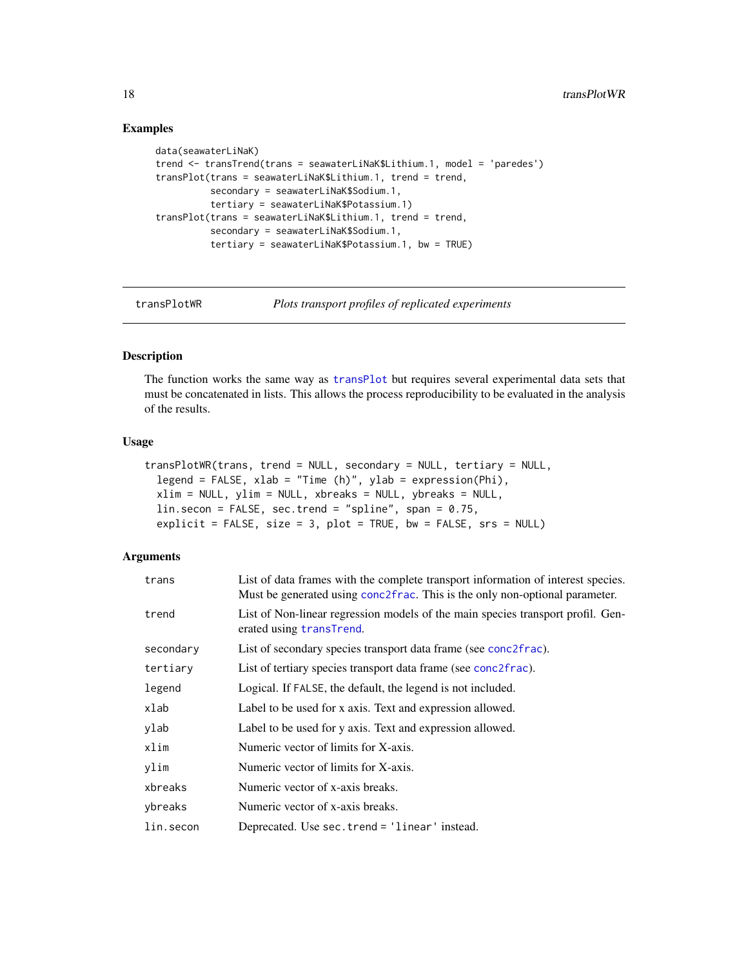# Examples

```
data(seawaterLiNaK)
trend <- transTrend(trans = seawaterLiNaK$Lithium.1, model = 'paredes')
transPlot(trans = seawaterLiNaK$Lithium.1, trend = trend,
          secondary = seawaterLiNaK$Sodium.1,
          tertiary = seawaterLiNaK$Potassium.1)
transPlot(trans = seawaterLiNaK$Lithium.1, trend = trend,
          secondary = seawaterLiNaK$Sodium.1,
          tertiary = seawaterLiNaK$Potassium.1, bw = TRUE)
```
transPlotWR *Plots transport profiles of replicated experiments*

# Description

The function works the same way as [transPlot](#page-15-1) but requires several experimental data sets that must be concatenated in lists. This allows the process reproducibility to be evaluated in the analysis of the results.

# Usage

```
transPlotWR(trans, trend = NULL, secondary = NULL, tertiary = NULL,
  legend = FALSE, xlab = "Time (h)", ylab = expression(Phi),
 xlim = NULL, ylim = NULL, xbreaks = NULL, ybreaks = NULL,
 lin.secon = FALSE, sec.trend = "spline", span = 0.75,
  explicit = FALSE, size = 3, plot = TRUE, bw = FALSE, srs = NULL)
```
# Arguments

| trans     | List of data frames with the complete transport information of interest species.<br>Must be generated using conc2frac. This is the only non-optional parameter. |
|-----------|-----------------------------------------------------------------------------------------------------------------------------------------------------------------|
| trend     | List of Non-linear regression models of the main species transport profil. Gen-<br>erated using transTrend.                                                     |
| secondary | List of secondary species transport data frame (see conc2frac).                                                                                                 |
| tertiary  | List of tertiary species transport data frame (see conc2frac).                                                                                                  |
| legend    | Logical. If FALSE, the default, the legend is not included.                                                                                                     |
| xlab      | Label to be used for x axis. Text and expression allowed.                                                                                                       |
| ylab      | Label to be used for y axis. Text and expression allowed.                                                                                                       |
| xlim      | Numeric vector of limits for X-axis.                                                                                                                            |
| ylim      | Numeric vector of limits for X-axis.                                                                                                                            |
| xbreaks   | Numeric vector of x-axis breaks.                                                                                                                                |
| ybreaks   | Numeric vector of x-axis breaks.                                                                                                                                |
| lin.secon | Deprecated. Use sec.trend = 'linear' instead.                                                                                                                   |

<span id="page-17-0"></span>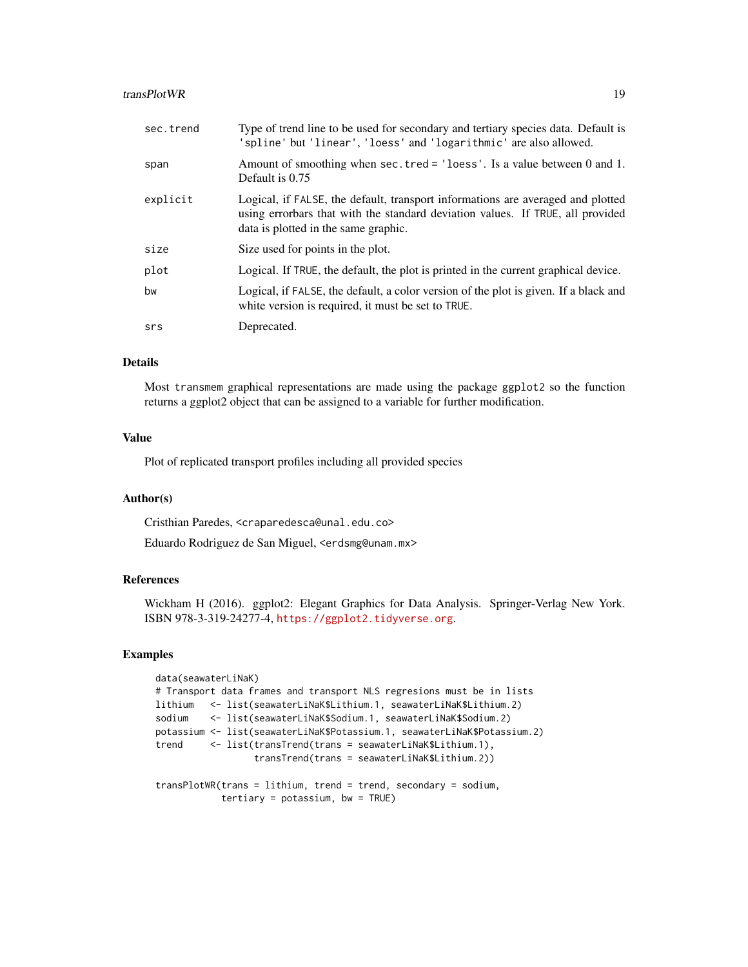#### transPlotWR 19

| sec.trend | Type of trend line to be used for secondary and tertiary species data. Default is<br>'spline' but 'linear', 'loess' and 'logarithmic' are also allowed.                                                   |
|-----------|-----------------------------------------------------------------------------------------------------------------------------------------------------------------------------------------------------------|
| span      | Amount of smoothing when sec. tred = $'$ loess'. Is a value between 0 and 1.<br>Default is 0.75                                                                                                           |
| explicit  | Logical, if FALSE, the default, transport informations are averaged and plotted<br>using errorbars that with the standard deviation values. If TRUE, all provided<br>data is plotted in the same graphic. |
| size      | Size used for points in the plot.                                                                                                                                                                         |
| plot      | Logical. If TRUE, the default, the plot is printed in the current graphical device.                                                                                                                       |
| bw        | Logical, if FALSE, the default, a color version of the plot is given. If a black and<br>white version is required, it must be set to TRUE.                                                                |
| srs       | Deprecated.                                                                                                                                                                                               |

## Details

Most transmem graphical representations are made using the package ggplot2 so the function returns a ggplot2 object that can be assigned to a variable for further modification.

## Value

Plot of replicated transport profiles including all provided species

## Author(s)

Cristhian Paredes, <craparedesca@unal.edu.co>

Eduardo Rodriguez de San Miguel, <erdsmg@unam.mx>

# References

Wickham H (2016). ggplot2: Elegant Graphics for Data Analysis. Springer-Verlag New York. ISBN 978-3-319-24277-4, <https://ggplot2.tidyverse.org>.

#### Examples

```
data(seawaterLiNaK)
# Transport data frames and transport NLS regresions must be in lists
lithium <- list(seawaterLiNaK$Lithium.1, seawaterLiNaK$Lithium.2)
sodium <- list(seawaterLiNaK$Sodium.1, seawaterLiNaK$Sodium.2)
potassium <- list(seawaterLiNaK$Potassium.1, seawaterLiNaK$Potassium.2)
trend <- list(transTrend(trans = seawaterLiNaK$Lithium.1),
                  transTrend(trans = seawaterLiNaK$Lithium.2))
transPlotWR(trans = lithium, trend = trend, secondary = sodium,
           tertiary = potassium, bw = TRUE)
```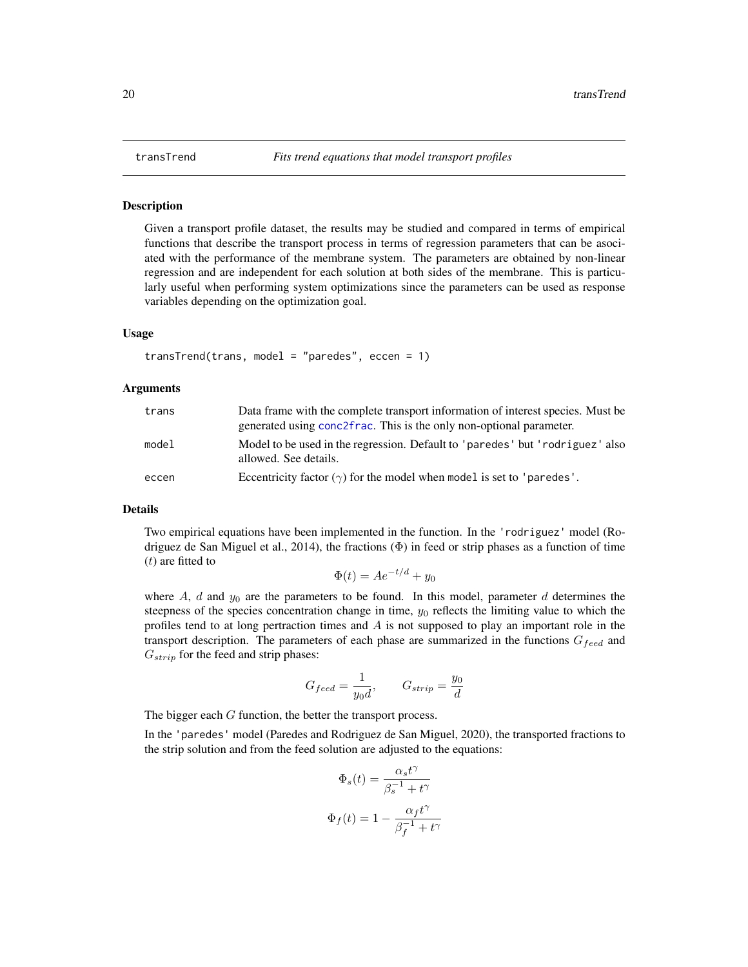<span id="page-19-1"></span><span id="page-19-0"></span>Given a transport profile dataset, the results may be studied and compared in terms of empirical functions that describe the transport process in terms of regression parameters that can be asociated with the performance of the membrane system. The parameters are obtained by non-linear regression and are independent for each solution at both sides of the membrane. This is particularly useful when performing system optimizations since the parameters can be used as response variables depending on the optimization goal.

#### Usage

transTrend(trans, model = "paredes", eccen = 1)

#### Arguments

| trans | Data frame with the complete transport information of interest species. Must be<br>generated using conc2frac. This is the only non-optional parameter. |
|-------|--------------------------------------------------------------------------------------------------------------------------------------------------------|
| model | Model to be used in the regression. Default to 'paredes' but 'rodriguez' also<br>allowed. See details.                                                 |
| eccen | Eccentricity factor $(\gamma)$ for the model when model is set to 'paredes'.                                                                           |

# Details

Two empirical equations have been implemented in the function. In the 'rodriguez' model (Rodriguez de San Miguel et al., 2014), the fractions  $(\Phi)$  in feed or strip phases as a function of time  $(t)$  are fitted to

$$
\Phi(t) = Ae^{-t/d} + y_0
$$

where  $A$ ,  $d$  and  $y_0$  are the parameters to be found. In this model, parameter  $d$  determines the steepness of the species concentration change in time,  $y_0$  reflects the limiting value to which the profiles tend to at long pertraction times and  $A$  is not supposed to play an important role in the transport description. The parameters of each phase are summarized in the functions  $G_{feed}$  and  $G_{strip}$  for the feed and strip phases:

$$
G_{feed} = \frac{1}{y_0 d}, \qquad G_{strip} = \frac{y_0}{d}
$$

The bigger each G function, the better the transport process.

In the 'paredes' model (Paredes and Rodriguez de San Miguel, 2020), the transported fractions to the strip solution and from the feed solution are adjusted to the equations:

$$
\Phi_s(t) = \frac{\alpha_s t^{\gamma}}{\beta_s^{-1} + t^{\gamma}}
$$

$$
\Phi_f(t) = 1 - \frac{\alpha_f t^{\gamma}}{\beta_f^{-1} + t^{\gamma}}
$$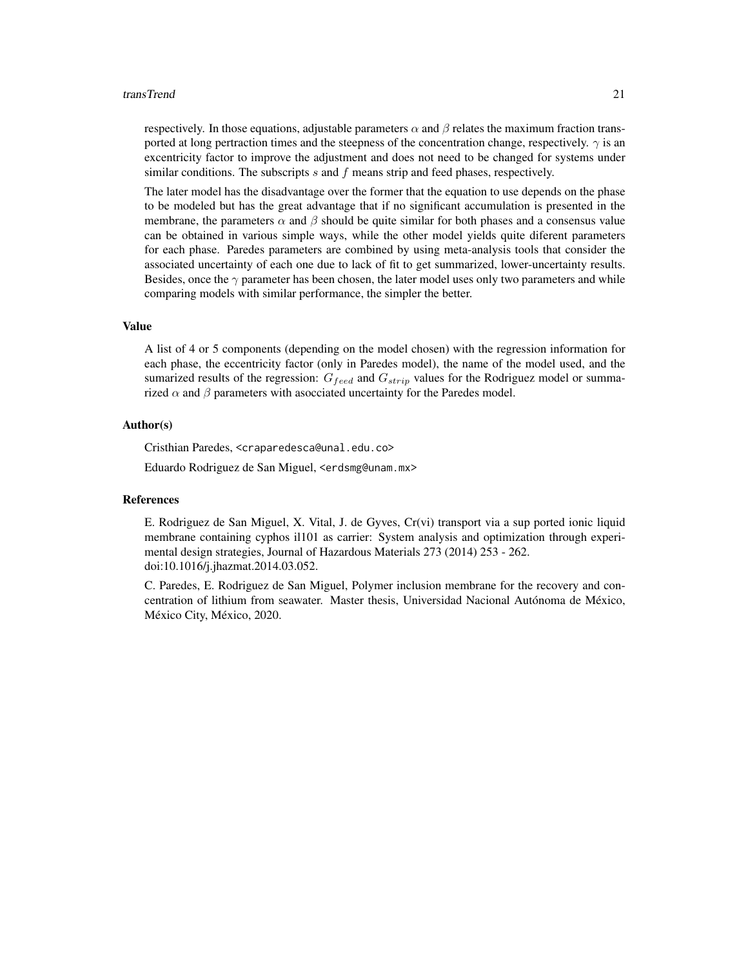#### transTrend 21

respectively. In those equations, adjustable parameters  $\alpha$  and  $\beta$  relates the maximum fraction transported at long pertraction times and the steepness of the concentration change, respectively.  $\gamma$  is an excentricity factor to improve the adjustment and does not need to be changed for systems under similar conditions. The subscripts s and f means strip and feed phases, respectively.

The later model has the disadvantage over the former that the equation to use depends on the phase to be modeled but has the great advantage that if no significant accumulation is presented in the membrane, the parameters  $\alpha$  and  $\beta$  should be quite similar for both phases and a consensus value can be obtained in various simple ways, while the other model yields quite diferent parameters for each phase. Paredes parameters are combined by using meta-analysis tools that consider the associated uncertainty of each one due to lack of fit to get summarized, lower-uncertainty results. Besides, once the  $\gamma$  parameter has been chosen, the later model uses only two parameters and while comparing models with similar performance, the simpler the better.

#### Value

A list of 4 or 5 components (depending on the model chosen) with the regression information for each phase, the eccentricity factor (only in Paredes model), the name of the model used, and the sumarized results of the regression:  $G_{feed}$  and  $G_{strip}$  values for the Rodriguez model or summarized  $\alpha$  and  $\beta$  parameters with asocciated uncertainty for the Paredes model.

# Author(s)

Cristhian Paredes, <craparedesca@unal.edu.co>

Eduardo Rodriguez de San Miguel, <erdsmg@unam.mx>

#### References

E. Rodriguez de San Miguel, X. Vital, J. de Gyves, Cr(vi) transport via a sup ported ionic liquid membrane containing cyphos il101 as carrier: System analysis and optimization through experimental design strategies, Journal of Hazardous Materials 273 (2014) 253 - 262. doi:10.1016/j.jhazmat.2014.03.052.

C. Paredes, E. Rodriguez de San Miguel, Polymer inclusion membrane for the recovery and concentration of lithium from seawater. Master thesis, Universidad Nacional Autónoma de México, México City, México, 2020.